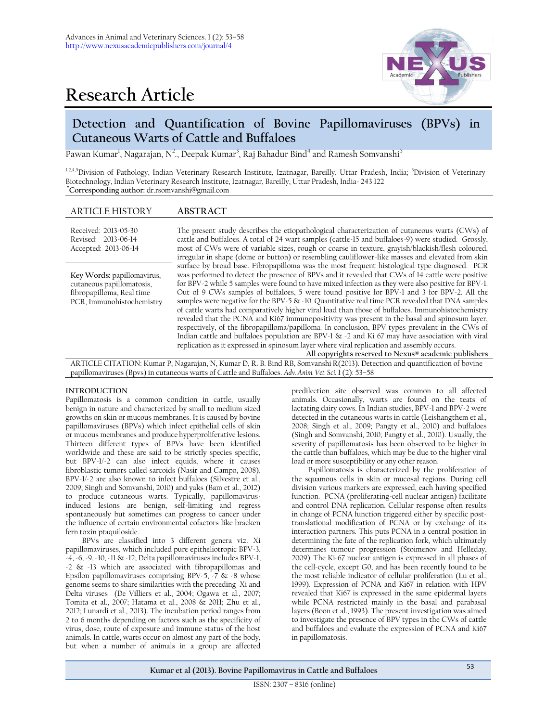# **Research Article**



# **Detection and Quantification of Bovine Papillomaviruses (BPVs) in Cutaneous Warts of Cattle and Buffaloes**

Pawan Kumar<sup>1</sup>, Nagarajan, N<sup>2</sup>., Deepak Kumar<sup>3</sup>, Raj Bahadur Bind<sup>4</sup> and Ramesh Somvanshi<sup>5</sup>

<sup>1,2,4,5</sup>Division of Pathology, Indian Veterinary Research Institute, Izatnagar, Bareilly, Uttar Pradesh, India; <sup>3</sup>Division of Veterinary Biotechnology, Indian Veterinary Research Institute, Izatnagar, Bareilly, Uttar Pradesh, India- 243 122 **\*Corresponding author:** [dr.rsomvanshi@gmail.com](mailto:dr.rsomvanshi@gmail.com)

# ARTICLE HISTORY **ABSTRACT**

| Received: 2013-05-30<br>Revised: 2013-06-14<br>Accepted: 2013-06-14                                               | The present study describes the etiopathological characterization of cutaneous warts (CWs) of<br>cattle and buffaloes. A total of 24 wart samples (cattle-15 and buffaloes-9) were studied. Grossly,<br>most of CWs were of variable sizes, rough or coarse in texture, grayish/blackish/flesh coloured,<br>irregular in shape (dome or button) or resembling cauliflower-like masses and elevated from skin                                                                                                                                                                                                                                                                                                                                                                                                                                                                                                                                                                                                                                                                   |
|-------------------------------------------------------------------------------------------------------------------|--------------------------------------------------------------------------------------------------------------------------------------------------------------------------------------------------------------------------------------------------------------------------------------------------------------------------------------------------------------------------------------------------------------------------------------------------------------------------------------------------------------------------------------------------------------------------------------------------------------------------------------------------------------------------------------------------------------------------------------------------------------------------------------------------------------------------------------------------------------------------------------------------------------------------------------------------------------------------------------------------------------------------------------------------------------------------------|
| Key Words: papillomavirus,<br>cutaneous papillomatosis,<br>fibropapilloma, Real time<br>PCR, Immunohistochemistry | surface by broad base. Fibropapilloma was the most frequent histological type diagnosed. PCR<br>was performed to detect the presence of BPVs and it revealed that CWs of 14 cattle were positive<br>for BPV-2 while 5 samples were found to have mixed infection as they were also positive for BPV-1.<br>Out of 9 CWs samples of buffaloes, 5 were found positive for BPV-1 and 3 for BPV-2. All the<br>samples were negative for the BPV-5 $\&$ -10. Quantitative real time PCR revealed that DNA samples<br>of cattle warts had comparatively higher viral load than those of buffaloes. Immunohistochemistry<br>revealed that the PCNA and Ki67 immunopositivity was present in the basal and spinosum layer,<br>respectively, of the fibropapilloma/papilloma. In conclusion, BPV types prevalent in the CWs of<br>Indian cattle and buffaloes population are BPV-1 & -2 and Ki 67 may have association with viral<br>replication as it expressed in spinosum layer where viral replication and assembly occurs.<br>All copyrights reserved to Nexus® academic publishers |

ARTICLE CITATION: Kumar P, Nagarajan, N, Kumar D, R. B. Bind RB, Somvanshi R(2013). Detection and quantification of bovine papillomaviruses (Bpvs) in cutaneous warts of Cattle and Buffaloes. *Adv. Anim. Vet. Sci.* 1 (2): 53–58

#### **INTRODUCTION**

Papillomatosis is a common condition in cattle, usually benign in nature and characterized by small to medium sized growths on skin or mucous membranes. It is caused by bovine papillomaviruses (BPVs) which infect epithelial cells of skin or mucous membranes and produce hyperproliferative lesions. Thirteen different types of BPVs have been identified worldwide and these are said to be strictly species specific, but BPV-1/-2 can also infect equids, where it causes fibroblastic tumors called sarcoids (Nasir and Campo, 2008). BPV-1/-2 are also known to infect buffaloes (Silvestre et al., 2009; Singh and Somvanshi, 2010) and yaks (Bam et al., 2012) to produce cutaneous warts. Typically, papillomavirusinduced lesions are benign, self-limiting and regress spontaneously but sometimes can progress to cancer under the influence of certain environmental cofactors like bracken fern toxin ptaquiloside.

BPVs are classified into 3 different genera viz. Xi papillomaviruses, which included pure epitheliotropic BPV-3,  $-4, -6, -9, -10, -11$  &  $-12$ ; Delta papillomaviruses includes BPV-1, -2 & -13 which are associated with fibropapillomas and Epsilon papillomaviruses comprising BPV-5, -7 & -8 whose genome seems to share similarities with the preceding Xi and Delta viruses (De Villiers et al., 2004; Ogawa et al., 2007; Tomita et al., 2007; Hatama et al., 2008 & 2011; Zhu et al., 2012; Lunardi et al., 2013). The incubation period ranges from 2 to 6 months depending on factors such as the specificity of virus, dose, route of exposure and immune status of the host animals. In cattle, warts occur on almost any part of the body, but when a number of animals in a group are affected

predilection site observed was common to all affected animals. Occasionally, warts are found on the teats of lactating dairy cows. In Indian studies, BPV-1 and BPV-2 were detected in the cutaneous warts in cattle (Leishangthem et al., 2008; Singh et al., 2009; Pangty et al., 2010) and buffaloes (Singh and Somvanshi, 2010; Pangty et al., 2010). Usually, the severity of papillomatosis has been observed to be higher in the cattle than buffaloes, which may be due to the higher viral load or more susceptibility or any other reason.

Papillomatosis is characterized by the proliferation of the squamous cells in skin or mucosal regions. During cell division various markers are expressed, each having specified function. PCNA (proliferating-cell nuclear antigen) facilitate and control DNA replication. Cellular response often results in change of PCNA function triggered either by specific posttranslational modification of PCNA or by exchange of its interaction partners. This puts PCNA in a central position in determining the fate of the replication fork, which ultimately determines tumour progression [\(Stoimenov a](http://www.ncbi.nlm.nih.gov/pubmed?term=Stoimenov%20I%5BAuthor%5D&cauthor=true&cauthor_uid=19442257)nd [Helleday,](http://www.ncbi.nlm.nih.gov/pubmed?term=Helleday%20T%5BAuthor%5D&cauthor=true&cauthor_uid=19442257) 2009). The Ki‐67 nuclear antigen is expressed in all phases of the cell-cycle, except G0, and has been recently found to be the most reliable indicator of cellular proliferation (Lu et al., 1999). Expression of PCNA and Ki67 in relation with HPV revealed that Ki67 is expressed in the same epidermal layers while PCNA restricted mainly in the basal and parabasal layers (Boon et al., 1993). The present investigation was aimed to investigate the presence of BPV types in the CWs of cattle and buffaloes and evaluate the expression of PCNA and Ki67 in papillomatosis.

**Kumar et al (2013). Bovine Papillomavirus in Cattle and Buffaloes** <sup>53</sup>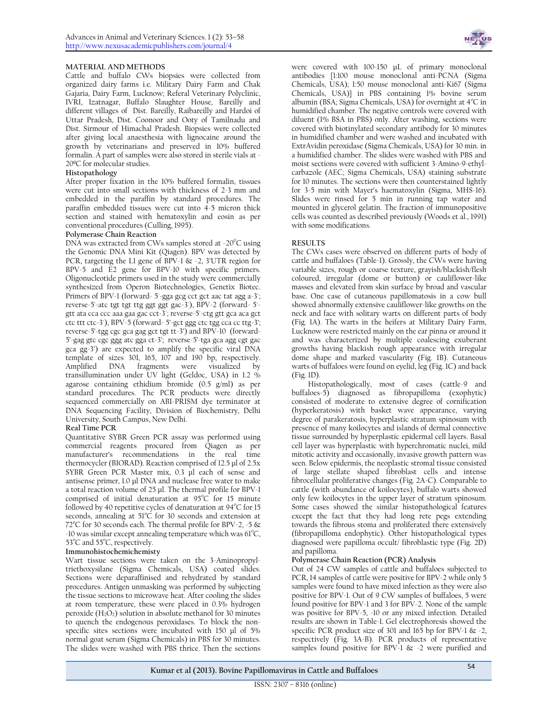## **MATERIAL AND METHODS**

Cattle and buffalo CWs biopsies were collected from organized dairy farms i.e. Military Dairy Farm and Chak Gajaria, Dairy Farm, Lucknow; Referal Veterinary Polyclinic, IVRI, Izatnagar, Buffalo Slaughter House, Bareilly and different villages of Dist. Bareilly, Raibareilly and Hardoi of Uttar Pradesh, Dist. Coonoor and Ooty of Tamilnadu and Dist. Sirmour of Himachal Pradesh. Biopsies were collected after giving local anaesthesia with lignocaine around the growth by veterinarians and preserved in 10% buffered formalin. A part of samples were also stored in sterile vials at - 20ºC for molecular studies.

# **Histopathology**

After proper fixation in the 10% buffered formalin, tissues were cut into small sections with thickness of 2-3 mm and embedded in the paraffin by standard procedures. The paraffin embedded tissues were cut into 4-5 micron thick section and stained with hematoxylin and eosin as per conventional procedures (Culling, 1995).

#### **Polymerase Chain Reaction**

DNA was extracted from CWs samples stored at -20 $\degree$ C using the Genomic DNA Mini Kit (Qiagen). BPV was detected by PCR, targeting the L1 gene of BPV-1 & -2, 3'UTR region for BPV-5 and E2 gene for BPV-10 with specific primers. Oligonucleotide primers used in the study were commercially synthesized from Operon Biotechnologies, Genetix Biotec. Primers of BPV-1 (forward- 5'-gga gcg cct gct aac tat agg a-3'; reverse-5'-atc tgt tgt ttg ggt ggt gac-3'), BPV-2 (forward- 5' gtt ata cca ccc aaa gaa gac cct-3'; reverse-5'-ctg gtt gca aca gct ctc ttt ctc-3'), BPV-5 (forward- 5'-gct ggg ctc tgg cca cc ttg-3'; reverse-5'-tgg cgc gca gag gct tgt tt-3') and BPV-10 (forward-5'-gag gtc cgc ggg atc gga ct-3'; reverse-5'-tga gca agg cgt gac gca gg-3') are expected to amplify the specific viral DNA template of sizes 301, 165, 107 and 190 bp, respectively.<br>Amplified DNA fragments were visualized by Amplified DNA fragments were visualized transillumination under UV light (Geldoc, USA) in 1.2 % agarose containing ethidium bromide (0.5 g/ml) as per standard procedures. The PCR products were directly sequenced commercially on ABI-PRISM dye terminator at DNA Sequencing Facility, Division of Biochemistry, Delhi University, South Campus, New Delhi.

# **Real Time PCR**

Quantitative SYBR Green PCR assay was performed using commercial reagents procured from Qiagen as per manufacturer's recommendations in the real time thermocycler (BIORAD). Reaction comprised of 12.5 μl of 2.5x SYBR Green PCR Master mix, 0.3 μl each of sense and antisense primer, 1.0 μl DNA and nuclease free water to make a total reaction volume of 25 μl. The thermal profile for BPV-1 comprised of initial denaturation at  $95^{\circ}$ C for 15 minute followed by 40 repetitive cycles of denaturation at  $94^{\circ}$ C for 15 seconds, annealing at  $51^{\circ}$ C for 30 seconds and extension at 72°C for 30 seconds each. The thermal profile for BPV-2, -5  $\&$ -10 was similar except annealing temperature which was  $61^{\circ}C$ , 53°C and 55°C, respectively.

#### **Immunohistochemichemisty**

Wart tissue sections were taken on the 3-Aminopropyltriethoxysilane (Sigma Chemicals, USA) coated slides. Sections were deparaffinised and rehydrated by standard procedures. Antigen unmasking was performed by subjecting the tissue sections to microwave heat. After cooling the slides at room temperature, these were placed in 0.3% hydrogen peroxide  $(H_2O_2)$  solution in absolute methanol for 30 minutes to quench the endogenous peroxidases. To block the nonspecific sites sections were incubated with 150 µl of 5% normal goat serum (Sigma Chemicals) in PBS for 30 minutes. The slides were washed with PBS thrice. Then the sections



were covered with 100-150 µL of primary monoclonal antibodies {1:100 mouse monoclonal anti-PCNA (Sigma Chemicals, USA); 1:50 mouse monoclonal anti-Ki67 (Sigma Chemicals, USA)} in PBS containing 1% bovine serum albumin (BSA; Sigma Chemicals, USA) for overnight at  $4^{\circ}C$  in humidified chamber. The negative controls were covered with diluent (1% BSA in PBS) only. After washing, sections were covered with biotinylated secondary antibody for 30 minutes in humidified chamber and were washed and incubated with ExtrAvidin peroxidase (Sigma Chemicals, USA) for 30 min. in a humidified chamber. The slides were washed with PBS and moist sections were covered with sufficient 3-Amino-9-ethylcarbazole (AEC; Sigma Chemicals, USA) staining substrate for 10 minutes. The sections were then counterstained lightly for 3-5 min with Mayer's haematoxylin (Sigma, MHS-16). Slides were rinsed for 5 min in running tap water and mounted in glycerol gelatin. The fraction of immunopositive cells was counted as described previously (Woods et al., 1991) with some modifications.

# **RESULTS**

The CWs cases were observed on different parts of body of cattle and buffaloes (Table-1). Grossly, the  $\tilde{\text{CWs}}$  were having variable sizes, rough or coarse texture, grayish/blackish/flesh coloured, irregular (dome or button) or cauliflower-like masses and elevated from skin surface by broad and vascular base. One case of cutaneous papillomatosis in a cow bull showed abnormally extensive cauliflower-like growths on the neck and face with solitary warts on different parts of body (Fig. 1A). The warts in the heifers at Military Dairy Farm, Lucknow were restricted mainly on the ear pinna or around it and was characterized by multiple coalescing exuberant growths having blackish rough appearance with irregular dome shape and marked vascularity (Fig. 1B). Cutaneous warts of buffaloes were found on eyelid, leg (Fig. 1C) and back (Fig. 1D).

Histopathologically, most of cases (cattle-9 and buffaloes-5) diagnosed as fibropapilloma (exophytic) consisted of moderate to extensive degree of cornification (hyperkeratosis) with basket wave appearance, varying degree of parakeratosis, hyperplastic stratum spinosum with presence of many koilocytes and islands of dermal connective tissue surrounded by hyperplastic epidermal cell layers. Basal cell layer was hyperplastic with hyperchromatic nuclei, mild mitotic activity and occasionally, invasive growth pattern was seen. Below epidermis, the neoplastic stromal tissue consisted of large stellate shaped fibroblast cells and intense fibrocellular proliferative changes (Fig. 2A-C). Comparable to cattle (with abundance of koilocytes), buffalo warts showed only few koilocytes in the upper layer of stratum spinosum. Some cases showed the similar histopathological features except the fact that they had long rete pegs extending towards the fibrous stoma and proliferated there extensively (fibropapilloma endophytic). Other histopathological types diagnosed were papilloma occult/ fibroblastic type (Fig. 2D) and papilloma.

#### **Polymerase Chain Reaction (PCR) Analysis**

Out of 24 CW samples of cattle and buffaloes subjected to PCR, 14 samples of cattle were positive for BPV-2 while only 5 samples were found to have mixed infection as they were also positive for BPV-1. Out of 9 CW samples of buffaloes, 5 were found positive for BPV-1 and 3 for BPV-2. None of the sample was positive for BPV-5, -10 or any mixed infection. Detailed results are shown in Table-1. Gel electrophoresis showed the specific PCR product size of 301 and  $16\overline{5}$  bp for BPV-1 & -2, respectively (Fig. 3A-B). PCR products of representative samples found positive for BPV-1 & -2 were purified and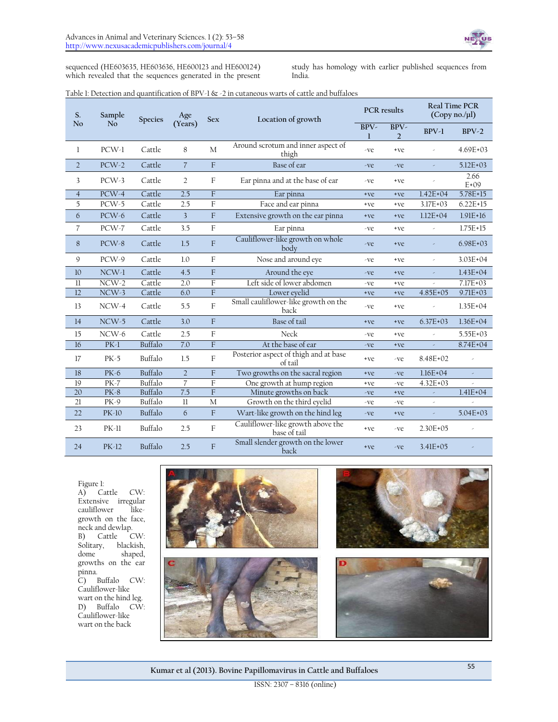sequenced (HE603635, HE603636, HE600123 and HE600124) which revealed that the sequences generated in the present study has homology with earlier published sequences from India.

## Table 1: Detection and quantification of BPV-1 & -2 in cutaneous warts of cattle and buffaloes

| S.             | Sample      | <b>Species</b> | Age            | <b>Sex</b>     | Location of growth                                | <b>PCR</b> results |                        |                          | <b>Real Time PCR</b><br>$(Copy no. / \mu l)$ |
|----------------|-------------|----------------|----------------|----------------|---------------------------------------------------|--------------------|------------------------|--------------------------|----------------------------------------------|
| N <sub>o</sub> | No          |                | (Years)        |                |                                                   | BPV-<br>1          | BPV-<br>$\overline{2}$ | $BPV-1$                  | $BPV-2$                                      |
| 1              | $PCW-1$     | Cattle         | 8              | M              | Around scrotum and inner aspect of<br>thigh       | -ve                | $+ve$                  |                          | $4.69E + 03$                                 |
| $\overline{2}$ | $PCW-2$     | Cattle         | $\overline{7}$ | F              | Base of ear                                       | -ve                | -ve                    | ×                        | $5.12E + 03$                                 |
| 3              | $PCW-3$     | Cattle         | $\overline{2}$ | F              | Ear pinna and at the base of ear                  |                    | +ve                    |                          | 2.66<br>$E+09$                               |
| $\overline{4}$ | $PCW-4$     | Cattle         | 2.5            | $\overline{F}$ | Ear pinna                                         | +ve                | $+ve$                  | $1.42E + 04$             | 5.78E+15                                     |
| 5              | PCW-5       | Cattle         | 2.5            | F              | Face and ear pinna                                | +ve                | +ve                    | $3.17E + 03$             | $6.22E + 15$                                 |
| 6              | $PCW-6$     | Cattle         | $\overline{3}$ | F              | Extensive growth on the ear pinna<br>+ve          |                    | $+ve$                  | $1.12E + 04$             | $1.91E+16$                                   |
| 7              | $PCW-7$     | Cattle         | 3.5            | F              | Ear pinna                                         | -ve                | +ve                    | $\bar{\nu}$              | $1.75E + 15$                                 |
| 8              | $PCW-8$     | Cattle         | 1.5            | F              | Cauliflower-like growth on whole<br>body          | -ve                | $+ve$                  |                          | $6.98E+03$                                   |
| 9              | PCW-9       | Cattle         | 1.0            | F              | Nose and around eye                               | -ve                | +ve                    | $\overline{\phantom{a}}$ | $3.03E + 04$                                 |
| 10             | $NCW-1$     | Cattle         | 4.5            | F              | Around the eye                                    | -ve                | +ve                    | J.                       | $1.43E+04$                                   |
| $_{11}$        | $NCW-2$     | Cattle         | 2.0            | F              | Left side of lower abdomen                        | -ve                | +ve                    |                          | 7.17E+03                                     |
| 12             | $NCW-3$     | Cattle         | 6.0            | F              | Lower eyelid                                      | +ye                | $+ve$                  | $4.85E + 05$             | $9.71E + 03$                                 |
| 13             | $NCW-4$     | Cattle         | 5.5            | $\rm F$        | Small cauliflower-like growth on the<br>back      | -ve                | $+ve$                  |                          | $1.35E + 04$                                 |
| 14             | $NCW-5$     | Cattle         | 3.0            | F              | Base of tail                                      | +ve                | $+ve$                  | $6.37E + 03$             | $1.36E + 04$                                 |
| 15             | $NCW-6$     | Cattle         | 2.5            | $\rm F$        | Neck                                              | -ve                | +ve                    | J.                       | $5.55E + 03$                                 |
| 16             | $PK-1$      | Buffalo        | 7.0            | F              | At the base of ear                                | -ve                | $+ve$                  | $\omega$                 | 8.74E+04                                     |
| 17             | $PK-5$      | Buffalo        | 1.5            | $\rm F$        | Posterior aspect of thigh and at base<br>of tail  | +ve                | -ve                    | 8.48E+02                 |                                              |
| 18             | PK-6        | Buffalo        | $\overline{2}$ | F              | Two growths on the sacral region<br>+ve<br>-ve    |                    | $1.16E + 04$           | ×.                       |                                              |
| 19             | <b>PK-7</b> | Buffalo        | $\overline{7}$ | F              | One growth at hump region<br>+ve                  |                    | -ve                    | $4.32E + 03$             |                                              |
| 20             | <b>PK-8</b> | Buffalo        | 7.5            | F              | Minute growths on back                            | -ve                | $+ve$                  | $\omega$                 | $1.41E + 04$                                 |
| 21             | PK-9        | Buffalo        | $_{11}$        | M              | Growth on the third eyelid                        | -ve                | -ve                    | ×.                       |                                              |
| 22             | PK-10       | Buffalo        | 6              | F              | Wart-like growth on the hind leg                  | -ve                | +ve                    |                          | $5.04E + 03$                                 |
| 23             | $PK-11$     | Buffalo        | 2.5            | $\rm F$        | Cauliflower-like growth above the<br>base of tail | +ve                | -ve                    | $2.30E + 05$             |                                              |
| 24             | PK-12       | Buffalo        | 2.5            | F              | Small slender growth on the lower<br>back         | +ve                | -ve                    | $3.41E + 0.5$            |                                              |

Figure 1:

A) Cattle CW: Extensive irregular<br>cauliflower likecauliflower growth on the face, neck and dewlap.<br>B) Cattle C Cattle CW: Solitary, blackish,<br>dome shaped, shaped, growths on the ear pinna. C) Buffalo CW: Cauliflower-like wart on the hind leg. D) Buffalo CW: Cauliflower-like wart on the back

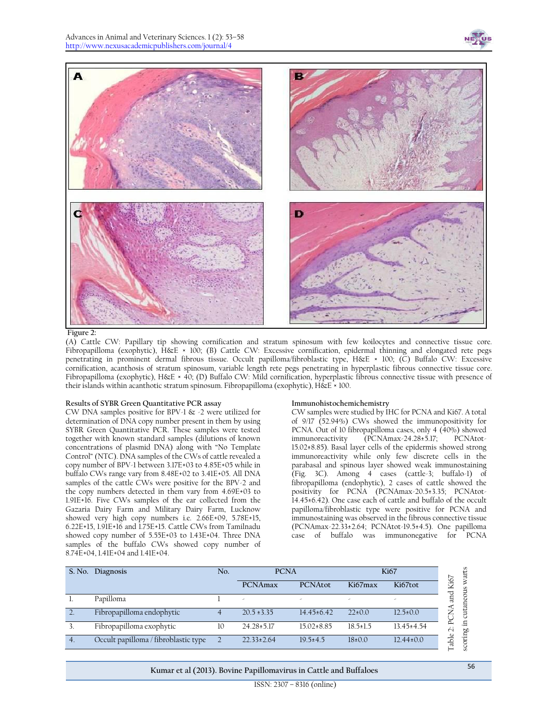

#### **Figure 2:**

(A) Cattle CW: Papillary tip showing cornification and stratum spinosum with few koilocytes and connective tissue core. Fibropapilloma (exophytic), H&E × 100; (B) Cattle CW: Excessive cornification, epidermal thinning and elongated rete pegs penetrating in prominent dermal fibrous tissue. Occult papilloma/fibroblastic type, H&E × 100; (C) Buffalo CW: Excessive cornification, acanthosis of stratum spinosum, variable length rete pegs penetrating in hyperplastic fibrous connective tissue core. Fibropapilloma (exophytic), H&E × 40; (D) Buffalo CW: Mild cornification, hyperplastic fibrous connective tissue with presence of their islands within acanthotic stratum spinosum. Fibropapilloma (exophytic), H&E × 100.

#### **Results of SYBR Green Quantitative PCR assay**

CW DNA samples positive for BPV-1 & -2 were utilized for determination of DNA copy number present in them by using SYBR Green Quantitative PCR. These samples were tested together with known standard samples (dilutions of known concentrations of plasmid DNA) along with "No Template Control" (NTC). DNA samples of the CWs of cattle revealed a copy number of BPV-1 between 3.17E+03 to 4.85E+05 while in buffalo CWs range vary from 8.48E+02 to 3.41E+05. All DNA samples of the cattle CWs were positive for the BPV-2 and the copy numbers detected in them vary from 4.69E+03 to 1.91E+16. Five CWs samples of the ear collected from the Gazaria Dairy Farm and Military Dairy Farm, Lucknow showed very high copy numbers i.e. 2.66E+09, 5.78E+15, 6.22E+15, 1.91E+16 and 1.75E+15. Cattle CWs from Tamilnadu showed copy number of 5.55E+03 to 1.43E+04. Three DNA samples of the buffalo CWs showed copy number of 8.74E+04, 1.41E+04 and 1.41E+04.

#### **Immunohistochemichemistry**

CW samples were studied by IHC for PCNA and Ki67. A total of 9/17 (52.94%) CWs showed the immunopositivity for PCNA. Out of 10 fibropapilloma cases, only 4 (40%) showed<br>immunoreactivity (PCNAmax-24.28+5.17; PCNAtot- $(PCNAmax-24.28±5.17;$ 15.02±8.85). Basal layer cells of the epidermis showed strong immunoreactivity while only few discrete cells in the parabasal and spinous layer showed weak immunostaining (Fig. 3C). Among 4 cases (cattle-3; buffalo-1) of fibropapilloma (endophytic), 2 cases of cattle showed the positivity for PCNA (PCNAmax-20.5±3.35; PCNAtot-14.45±6.42). One case each of cattle and buffalo of the occult papilloma/fibroblastic type were positive for PCNA and immunostaining was observed in the fibrous connective tissue (PCNAmax-22.33±2.64; PCNAtot-19.5±4.5). One papilloma case of buffalo was immunonegative for PCNA

|                  | S. No. Diagnosis                     | No. | <b>PCNA</b>              |                  | <b>Ki67</b>    |                  |  |
|------------------|--------------------------------------|-----|--------------------------|------------------|----------------|------------------|--|
|                  |                                      |     | PCNAmax                  | <b>PCNAtot</b>   | Ki67max        | Ki67tot          |  |
|                  | Papilloma                            |     | $\overline{\phantom{a}}$ | ۰                | ۰              | ۰                |  |
|                  | Fibropapilloma endophytic            |     | $20.5 \pm 3.35$          | $14.45 \pm 6.42$ | $22\pm0.0$     | $12.5 \pm 0.0$   |  |
|                  | Fibropapilloma exophytic             | 10  | $24.28 \pm 5.17$         | $15.02 \pm 8.85$ | $18.5 \pm 1.5$ | $13.45 \pm 4.54$ |  |
| $\overline{4}$ . | Occult papilloma / fibroblastic type |     | $22.33 \pm 2.64$         | $19.5 \pm 4.5$   | $18\pm0.0$     | $12.44 \pm 0.0$  |  |

**Kumar et al (2013). Bovine Papillomavirus in Cattle and Buffaloes** <sup>56</sup>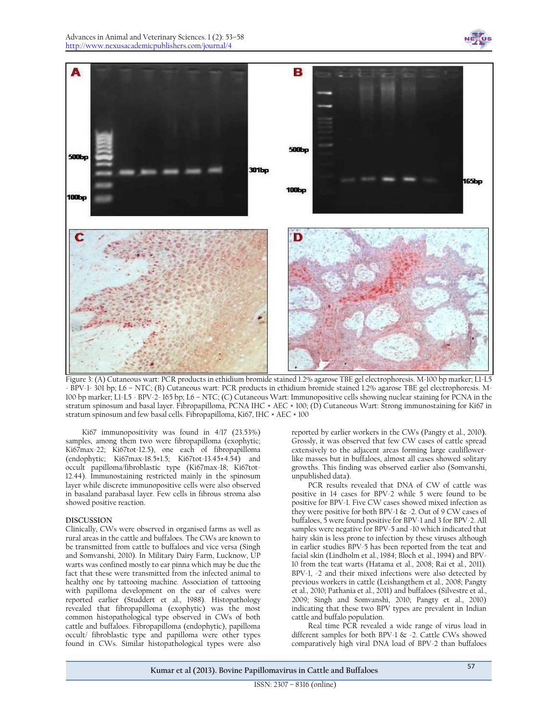



Figure 3: (A) Cutaneous wart: PCR products in ethidium bromide stained 1.2% agarose TBE gel electrophoresis. M-100 bp marker; L1-L5 - BPV-1- 301 bp; L6 – NTC; (B) Cutaneous wart: PCR products in ethidium bromide stained 1.2% agarose TBE gel electrophoresis. M-100 bp marker; L1-L5 - BPV-2- 165 bp; L6 – NTC; (C) Cutaneous Wart: Immunopositive cells showing nuclear staining for PCNA in the stratum spinosum and basal layer. Fibropapilloma, PCNA IHC × AEC × 100; (D) Cutaneous Wart: Strong immunostaining for Ki67 in stratum spinosum and few basal cells. Fibropapilloma, Ki67, IHC × AEC × 100

Ki67 immunopositivity was found in 4/17 (23.53%) samples, among them two were fibropapilloma (exophytic; Ki67max-22; Ki67tot-12.5), one each of fibropapilloma (endophytic; Ki67max-18.5±1.5; Ki67tot-13.45±4.54) and occult papilloma/fibroblastic type (Ki67max-18; Ki67tot-12.44). Immunostaining restricted mainly in the spinosum layer while discrete immunopositive cells were also observed in basaland parabasal layer. Few cells in fibrous stroma also showed positive reaction.

#### **DISCUSSION**

Clinically, CWs were observed in organised farms as well as rural areas in the cattle and buffaloes. The CWs are known to be transmitted from cattle to buffaloes and vice versa (Singh and Somvanshi, 2010). In Military Dairy Farm, Lucknow, UP warts was confined mostly to ear pinna which may be due the fact that these were transmitted from the infected animal to healthy one by tattooing machine. Association of tattooing with papilloma development on the ear of calves were reported earlier (Studdert et al., 1988). Histopathology revealed that fibropapilloma (exophytic) was the most common histopathological type observed in CWs of both cattle and buffaloes. Fibropapilloma (endophytic), papilloma occult/ fibroblastic type and papilloma were other types found in CWs. Similar histopathological types were also

reported by earlier workers in the CWs (Pangty et al., 2010**).**  Grossly, it was observed that few CW cases of cattle spread extensively to the adjacent areas forming large cauliflowerlike masses but in buffaloes, almost all cases showed solitary growths. This finding was observed earlier also (Somvanshi, unpublished data).

PCR results revealed that DNA of CW of cattle was positive in 14 cases for BPV-2 while 5 were found to be positive for BPV-1. Five CW cases showed mixed infection as they were positive for both BPV-1 & -2. Out of 9 CW cases of buffaloes, 5 were found positive for BPV-1 and 3 for BPV-2. All samples were negative for BPV-5 and -10 which indicated that hairy skin is less prone to infection by these viruses although in earlier studies BPV-5 has been reported from the teat and facial skin (Lindholm et al., 1984; Bloch et al., 1994) and BPV-10 from the teat warts (Hatama et al., 2008; Rai et al., 2011). BPV-1, -2 and their mixed infections were also detected by previous workers in cattle (Leishangthem et al., 2008; Pangty et al., 2010; Pathania et al., 2011) and buffaloes (Silvestre et al., 2009; Singh and Somvanshi, 2010; Pangty et al., 2010) indicating that these two BPV types are prevalent in Indian cattle and buffalo population.

Real time PCR revealed a wide range of virus load in different samples for both BPV-1 & -2. Cattle CWs showed comparatively high viral DNA load of BPV-2 than buffaloes

**Kumar et al (2013). Bovine Papillomavirus in Cattle and Buffaloes** <sup>57</sup>